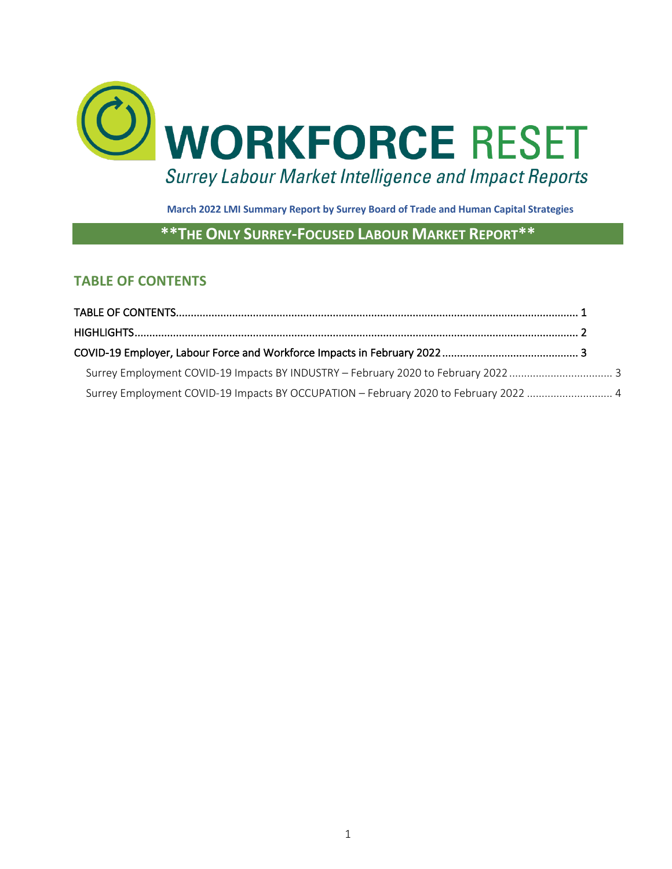

 **March 2022 LMI Summary Report by Surrey Board of Trade and Human Capital Strategies**

# **\*\*THE ONLY SURREY-FOCUSED LABOUR MARKET REPORT\*\***

### **TABLE OF CONTENTS**

| Surrey Employment COVID-19 Impacts BY OCCUPATION - February 2020 to February 2022  4 |  |
|--------------------------------------------------------------------------------------|--|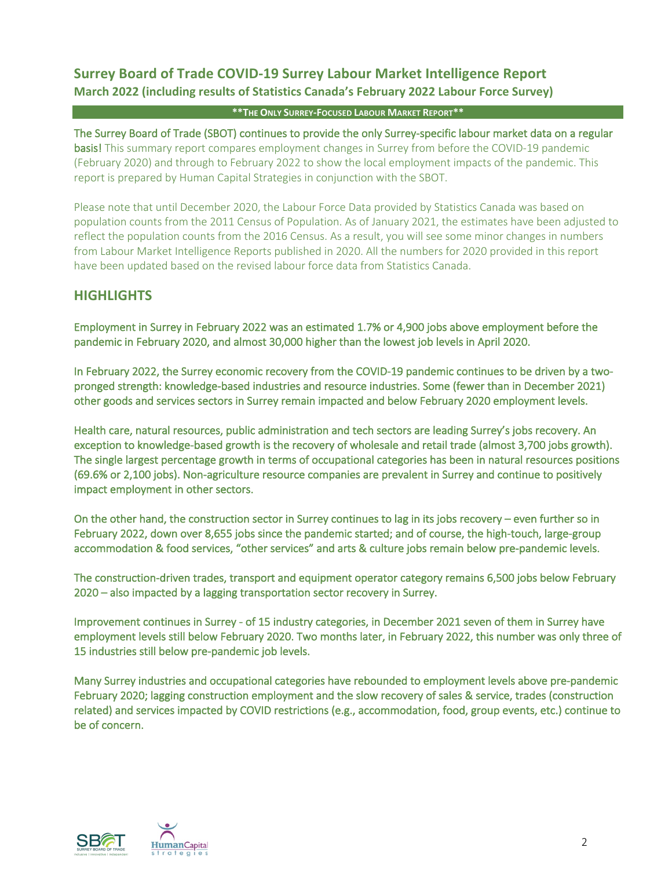# **Surrey Board of Trade COVID-19 Surrey Labour Market Intelligence Report March 2022 (including results of Statistics Canada's February 2022 Labour Force Survey)**

#### **\*\*THE ONLY SURREY-FOCUSED LABOUR MARKET REPORT\*\***

The Surrey Board of Trade (SBOT) continues to provide the only Surrey-specific labour market data on a regular basis! This summary report compares employment changes in Surrey from before the COVID-19 pandemic (February 2020) and through to February 2022 to show the local employment impacts of the pandemic. This report is prepared by Human Capital Strategies in conjunction with the SBOT.

Please note that until December 2020, the Labour Force Data provided by Statistics Canada was based on population counts from the 2011 Census of Population. As of January 2021, the estimates have been adjusted to reflect the population counts from the 2016 Census. As a result, you will see some minor changes in numbers from Labour Market Intelligence Reports published in 2020. All the numbers for 2020 provided in this report have been updated based on the revised labour force data from Statistics Canada.

# **HIGHLIGHTS**

Employment in Surrey in February 2022 was an estimated 1.7% or 4,900 jobs above employment before the pandemic in February 2020, and almost 30,000 higher than the lowest job levels in April 2020.

In February 2022, the Surrey economic recovery from the COVID-19 pandemic continues to be driven by a twopronged strength: knowledge-based industries and resource industries. Some (fewer than in December 2021) other goods and services sectors in Surrey remain impacted and below February 2020 employment levels.

Health care, natural resources, public administration and tech sectors are leading Surrey's jobs recovery. An exception to knowledge-based growth is the recovery of wholesale and retail trade (almost 3,700 jobs growth). The single largest percentage growth in terms of occupational categories has been in natural resources positions (69.6% or 2,100 jobs). Non-agriculture resource companies are prevalent in Surrey and continue to positively impact employment in other sectors.

On the other hand, the construction sector in Surrey continues to lag in its jobs recovery – even further so in February 2022, down over 8,655 jobs since the pandemic started; and of course, the high-touch, large-group accommodation & food services, "other services" and arts & culture jobs remain below pre-pandemic levels.

The construction-driven trades, transport and equipment operator category remains 6,500 jobs below February 2020 – also impacted by a lagging transportation sector recovery in Surrey.

Improvement continues in Surrey - of 15 industry categories, in December 2021 seven of them in Surrey have employment levels still below February 2020. Two months later, in February 2022, this number was only three of 15 industries still below pre-pandemic job levels.

Many Surrey industries and occupational categories have rebounded to employment levels above pre-pandemic February 2020; lagging construction employment and the slow recovery of sales & service, trades (construction related) and services impacted by COVID restrictions (e.g., accommodation, food, group events, etc.) continue to be of concern.



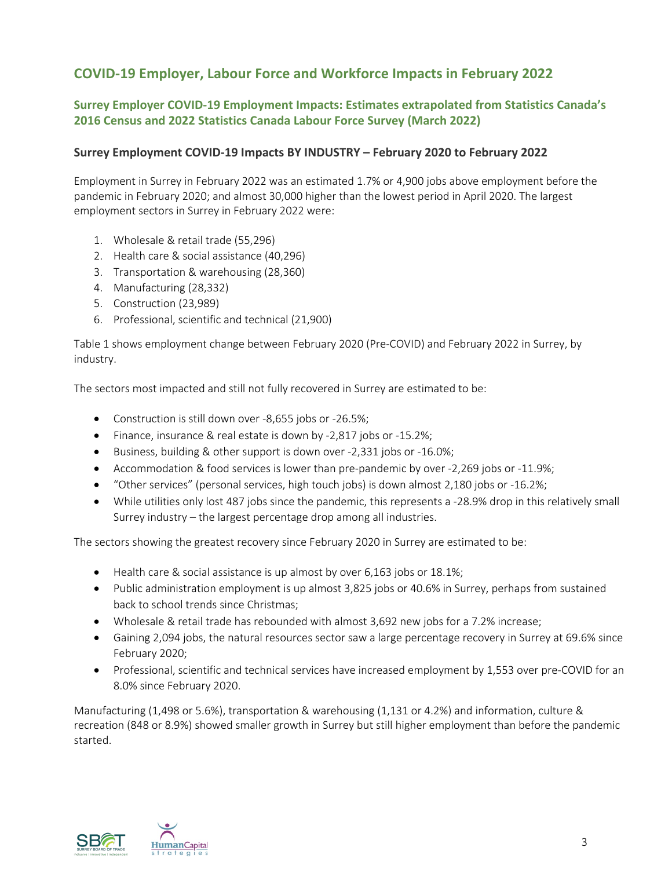# **COVID-19 Employer, Labour Force and Workforce Impacts in February 2022**

# **Surrey Employer COVID-19 Employment Impacts: Estimates extrapolated from Statistics Canada's 2016 Census and 2022 Statistics Canada Labour Force Survey (March 2022)**

### **Surrey Employment COVID-19 Impacts BY INDUSTRY – February 2020 to February 2022**

Employment in Surrey in February 2022 was an estimated 1.7% or 4,900 jobs above employment before the pandemic in February 2020; and almost 30,000 higher than the lowest period in April 2020. The largest employment sectors in Surrey in February 2022 were:

- 1. Wholesale & retail trade (55,296)
- 2. Health care & social assistance (40,296)
- 3. Transportation & warehousing (28,360)
- 4. Manufacturing (28,332)
- 5. Construction (23,989)
- 6. Professional, scientific and technical (21,900)

Table 1 shows employment change between February 2020 (Pre-COVID) and February 2022 in Surrey, by industry.

The sectors most impacted and still not fully recovered in Surrey are estimated to be:

- Construction is still down over -8,655 jobs or -26.5%;
- Finance, insurance & real estate is down by -2,817 jobs or -15.2%;
- Business, building & other support is down over -2,331 jobs or -16.0%;
- Accommodation & food services is lower than pre-pandemic by over -2,269 jobs or -11.9%;
- "Other services" (personal services, high touch jobs) is down almost 2,180 jobs or -16.2%;
- While utilities only lost 487 jobs since the pandemic, this represents a -28.9% drop in this relatively small Surrey industry – the largest percentage drop among all industries.

The sectors showing the greatest recovery since February 2020 in Surrey are estimated to be:

- Health care & social assistance is up almost by over 6,163 jobs or 18.1%;
- Public administration employment is up almost 3,825 jobs or 40.6% in Surrey, perhaps from sustained back to school trends since Christmas;
- Wholesale & retail trade has rebounded with almost 3,692 new jobs for a 7.2% increase;
- Gaining 2,094 jobs, the natural resources sector saw a large percentage recovery in Surrey at 69.6% since February 2020;
- Professional, scientific and technical services have increased employment by 1,553 over pre-COVID for an 8.0% since February 2020.

Manufacturing (1,498 or 5.6%), transportation & warehousing (1,131 or 4.2%) and information, culture & recreation (848 or 8.9%) showed smaller growth in Surrey but still higher employment than before the pandemic started.



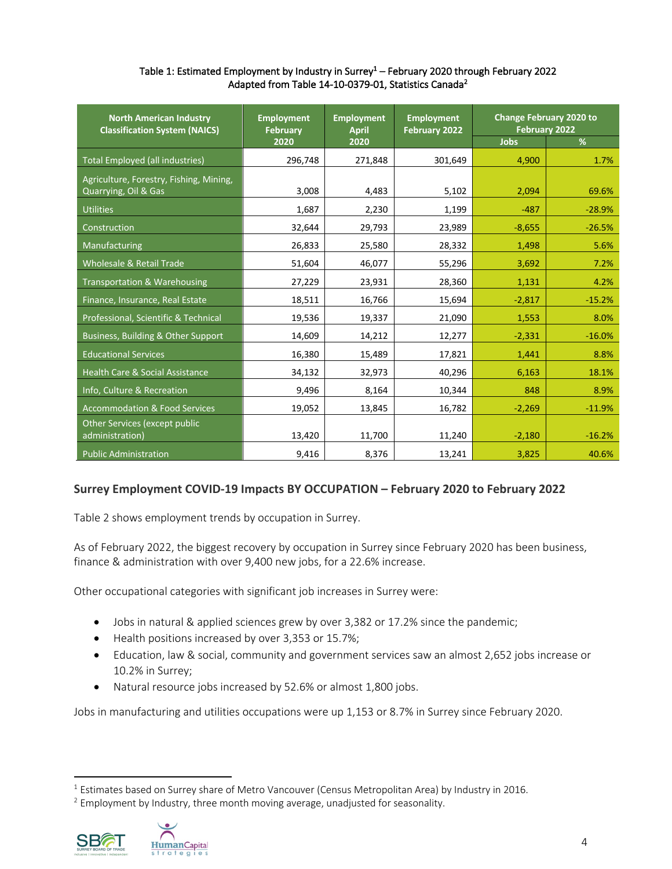### Table 1: Estimated Employment by Industry in Surrey<sup>1</sup> – February 2020 through February 2022 Adapted from Table 14-10-0379-01, Statistics Canada<sup>2</sup>

| <b>North American Industry</b><br><b>Classification System (NAICS)</b> | <b>Employment</b><br><b>February</b> | <b>Employment</b><br><b>April</b> | <b>Employment</b><br>February 2022 | <b>Change February 2020 to</b><br>February 2022 |          |
|------------------------------------------------------------------------|--------------------------------------|-----------------------------------|------------------------------------|-------------------------------------------------|----------|
|                                                                        | 2020                                 | 2020                              |                                    | <b>Jobs</b>                                     | %        |
| Total Employed (all industries)                                        | 296,748                              | 271,848                           | 301,649                            | 4,900                                           | 1.7%     |
| Agriculture, Forestry, Fishing, Mining,<br>Quarrying, Oil & Gas        | 3,008                                | 4,483                             | 5,102                              | 2,094                                           | 69.6%    |
| <b>Utilities</b>                                                       | 1,687                                | 2,230                             | 1,199                              | $-487$                                          | $-28.9%$ |
| Construction                                                           | 32,644                               | 29,793                            | 23,989                             | $-8,655$                                        | $-26.5%$ |
| Manufacturing                                                          | 26,833                               | 25,580                            | 28,332                             | 1,498                                           | 5.6%     |
| <b>Wholesale &amp; Retail Trade</b>                                    | 51,604                               | 46,077                            | 55,296                             | 3,692                                           | 7.2%     |
| Transportation & Warehousing                                           | 27,229                               | 23,931                            | 28,360                             | 1,131                                           | 4.2%     |
| Finance, Insurance, Real Estate                                        | 18,511                               | 16,766                            | 15,694                             | $-2,817$                                        | $-15.2%$ |
| Professional, Scientific & Technical                                   | 19,536                               | 19,337                            | 21,090                             | 1,553                                           | 8.0%     |
| Business, Building & Other Support                                     | 14,609                               | 14,212                            | 12,277                             | $-2,331$                                        | $-16.0%$ |
| <b>Educational Services</b>                                            | 16,380                               | 15,489                            | 17,821                             | 1,441                                           | 8.8%     |
| <b>Health Care &amp; Social Assistance</b>                             | 34,132                               | 32,973                            | 40,296                             | 6,163                                           | 18.1%    |
| Info, Culture & Recreation                                             | 9,496                                | 8,164                             | 10,344                             | 848                                             | 8.9%     |
| <b>Accommodation &amp; Food Services</b>                               | 19,052                               | 13,845                            | 16,782                             | $-2,269$                                        | $-11.9%$ |
| Other Services (except public<br>administration)                       | 13,420                               | 11,700                            | 11,240                             | $-2,180$                                        | $-16.2%$ |
| <b>Public Administration</b>                                           | 9,416                                | 8,376                             | 13,241                             | 3,825                                           | 40.6%    |

# **Surrey Employment COVID-19 Impacts BY OCCUPATION – February 2020 to February 2022**

Table 2 shows employment trends by occupation in Surrey.

As of February 2022, the biggest recovery by occupation in Surrey since February 2020 has been business, finance & administration with over 9,400 new jobs, for a 22.6% increase.

Other occupational categories with significant job increases in Surrey were:

- Jobs in natural & applied sciences grew by over 3,382 or 17.2% since the pandemic;
- Health positions increased by over 3,353 or 15.7%;
- Education, law & social, community and government services saw an almost 2,652 jobs increase or 10.2% in Surrey;
- Natural resource jobs increased by 52.6% or almost 1,800 jobs.

Jobs in manufacturing and utilities occupations were up 1,153 or 8.7% in Surrey since February 2020.

 $2$  Employment by Industry, three month moving average, unadjusted for seasonality.





<sup>&</sup>lt;sup>1</sup> Estimates based on Surrey share of Metro Vancouver (Census Metropolitan Area) by Industry in 2016.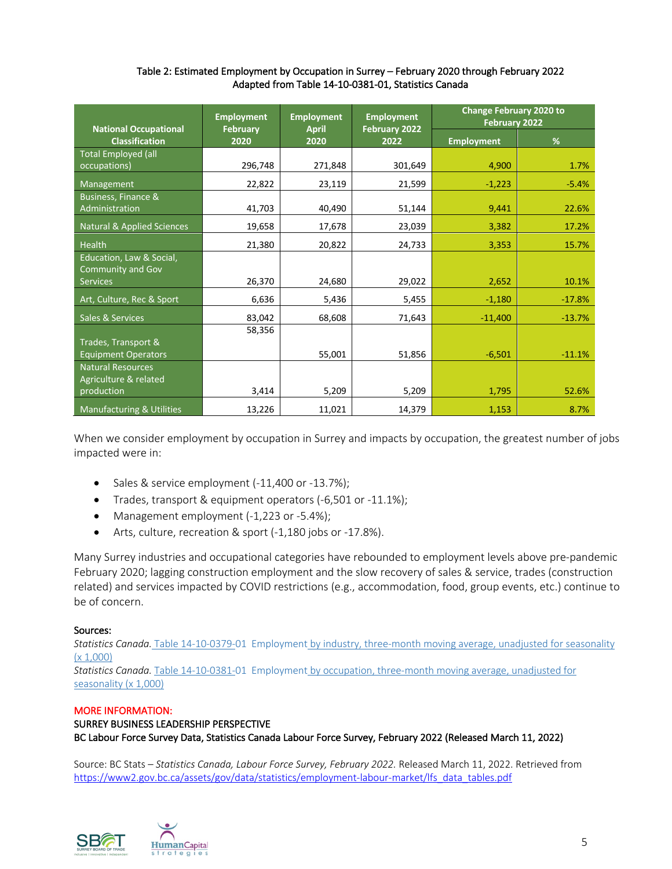### Table 2: Estimated Employment by Occupation in Surrey – February 2020 through February 2022 Adapted from Table 14-10-0381-01, Statistics Canada

| <b>National Occupational</b>                      | <b>Employment</b><br><b>February</b> | <b>Employment</b><br><b>April</b> | <b>Employment</b><br>February 2022 | <b>Change February 2020 to</b><br><b>February 2022</b> |          |
|---------------------------------------------------|--------------------------------------|-----------------------------------|------------------------------------|--------------------------------------------------------|----------|
| <b>Classification</b>                             | 2020                                 | 2020                              | 2022                               | <b>Employment</b>                                      | %        |
| <b>Total Employed (all</b><br>occupations)        | 296,748                              | 271,848                           | 301,649                            | 4,900                                                  | 1.7%     |
| Management                                        | 22,822                               | 23,119                            | 21,599                             | $-1,223$                                               | $-5.4%$  |
| <b>Business, Finance &amp;</b>                    |                                      |                                   |                                    |                                                        |          |
| Administration                                    | 41,703                               | 40,490                            | 51,144                             | 9,441                                                  | 22.6%    |
| <b>Natural &amp; Applied Sciences</b>             | 19,658                               | 17,678                            | 23,039                             | 3,382                                                  | 17.2%    |
| Health                                            | 21,380                               | 20,822                            | 24,733                             | 3,353                                                  | 15.7%    |
| Education, Law & Social,<br>Community and Gov     |                                      |                                   |                                    |                                                        |          |
| <b>Services</b>                                   | 26,370                               | 24,680                            | 29,022                             | 2,652                                                  | 10.1%    |
| Art, Culture, Rec & Sport                         | 6,636                                | 5,436                             | 5,455                              | $-1,180$                                               | $-17.8%$ |
| Sales & Services                                  | 83,042                               | 68,608                            | 71,643                             | $-11,400$                                              | $-13.7%$ |
|                                                   | 58,356                               |                                   |                                    |                                                        |          |
| Trades, Transport &<br><b>Equipment Operators</b> |                                      | 55,001                            | 51,856                             | $-6,501$                                               | $-11.1%$ |
| <b>Natural Resources</b>                          |                                      |                                   |                                    |                                                        |          |
| Agriculture & related<br>production               | 3,414                                | 5,209                             | 5,209                              | 1,795                                                  | 52.6%    |
| <b>Manufacturing &amp; Utilities</b>              | 13,226                               | 11,021                            | 14,379                             | 1,153                                                  | 8.7%     |

When we consider employment by occupation in Surrey and impacts by occupation, the greatest number of jobs impacted were in:

- Sales & service employment (-11,400 or -13.7%);
- Trades, transport & equipment operators (-6,501 or -11.1%);
- Management employment (-1,223 or -5.4%);
- Arts, culture, recreation & sport (-1,180 jobs or -17.8%).

Many Surrey industries and occupational categories have rebounded to employment levels above pre-pandemic February 2020; lagging construction employment and the slow recovery of sales & service, trades (construction related) and services impacted by COVID restrictions (e.g., accommodation, food, group events, etc.) continue to be of concern.

### Sources:

*Statistics Canada.* Table 14-10-0379-01 Employment by industry, three-month moving average, unadjusted for seasonality (x 1,000)

*Statistics Canada.* Table 14-10-0381-01 Employment by occupation, three-month moving average, unadjusted for seasonality (x 1,000)

#### MORE INFORMATION:

### SURREY BUSINESS LEADERSHIP PERSPECTIVE

BC Labour Force Survey Data, Statistics Canada Labour Force Survey, February 2022 (Released March 11, 2022)

Source: BC Stats – *Statistics Canada, Labour Force Survey, February 2022.* Released March 11, 2022. Retrieved from https://www2.gov.bc.ca/assets/gov/data/statistics/employment-labour-market/lfs\_data\_tables.pdf